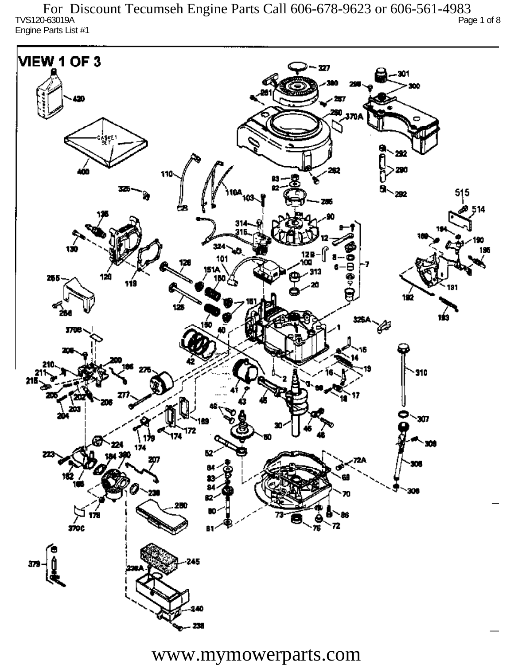TVS120-63019A Page 1 of 8 Engine Parts List #1 For Discount Tecumseh Engine Parts Call 606-678-9623 or 606-561-4983

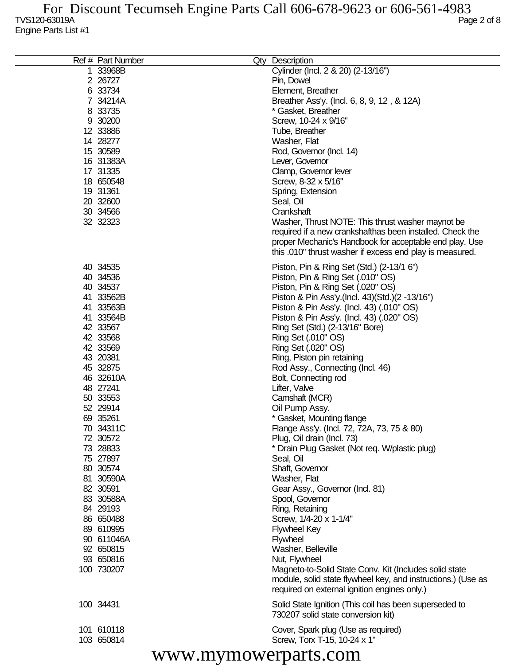| Ref # Part Number | Qty Description                                              |
|-------------------|--------------------------------------------------------------|
| 1 33968B          | Cylinder (Incl. 2 & 20) (2-13/16")                           |
| 2 26727           | Pin, Dowel                                                   |
| 6 33734           | Element, Breather                                            |
| 7 34214A          | Breather Ass'y. (Incl. 6, 8, 9, 12, & 12A)                   |
| 8 33735           | * Gasket, Breather                                           |
| 9 30200           | Screw, 10-24 x 9/16"                                         |
| 12 33886          | Tube, Breather                                               |
| 14 28277          | Washer, Flat                                                 |
| 15 30589          | Rod, Governor (Incl. 14)                                     |
| 16 31383A         |                                                              |
|                   | Lever, Governor                                              |
| 17 31335          | Clamp, Governor lever                                        |
| 18 650548         | Screw, 8-32 x 5/16"                                          |
| 19 31361          | Spring, Extension                                            |
| 20 32600          | Seal, Oil                                                    |
| 30 34566          | Crankshaft                                                   |
| 32 32323          | Washer, Thrust NOTE: This thrust washer maynot be            |
|                   | required if a new crankshafthas been installed. Check the    |
|                   | proper Mechanic's Handbook for acceptable end play. Use      |
|                   | this .010" thrust washer if excess end play is measured.     |
| 40 34535          |                                                              |
|                   | Piston, Pin & Ring Set (Std.) (2-13/1 6")                    |
| 40 34536          | Piston, Pin & Ring Set (.010" OS)                            |
| 40 34537          | Piston, Pin & Ring Set (.020" OS)                            |
| 41 33562B         | Piston & Pin Ass'y.(Incl. 43)(Std.)(2 -13/16")               |
| 41 33563B         | Piston & Pin Ass'y. (Incl. 43) (.010" OS)                    |
| 41 33564B         | Piston & Pin Ass'y. (Incl. 43) (.020" OS)                    |
| 42 33567          | Ring Set (Std.) (2-13/16" Bore)                              |
| 42 33568          | Ring Set (.010" OS)                                          |
| 42 33569          | Ring Set (.020" OS)                                          |
| 43 20381          | Ring, Piston pin retaining                                   |
| 45 32875          | Rod Assy., Connecting (Incl. 46)                             |
| 46 32610A         | Bolt, Connecting rod                                         |
| 48 27241          | Lifter, Valve                                                |
| 50 33553          | Camshaft (MCR)                                               |
| 52 29914          | Oil Pump Assy.                                               |
| 69 35261          | * Gasket, Mounting flange                                    |
| 70 34311C         | Flange Ass'y. (Incl. 72, 72A, 73, 75 & 80)                   |
| 72 30572          | Plug, Oil drain (Incl. 73)                                   |
| 73 28833          | * Drain Plug Gasket (Not req. W/plastic plug)                |
| 75 27897          | Seal, Oil                                                    |
| 80 30574          | Shaft, Governor                                              |
| 81 30590A         | Washer, Flat                                                 |
| 82 30591          | Gear Assy., Governor (Incl. 81)                              |
| 83 30588A         | Spool, Governor                                              |
| 84 29193          | Ring, Retaining                                              |
| 86 650488         | Screw, 1/4-20 x 1-1/4"                                       |
|                   |                                                              |
| 89 610995         | <b>Flywheel Key</b>                                          |
| 90 611046A        | <b>Flywheel</b>                                              |
| 92 650815         | Washer, Belleville                                           |
| 93 650816         | Nut, Flywheel                                                |
| 100 730207        | Magneto-to-Solid State Conv. Kit (Includes solid state       |
|                   | module, solid state flywheel key, and instructions.) (Use as |
|                   | required on external ignition engines only.)                 |
| 100 34431         | Solid State Ignition (This coil has been superseded to       |
|                   | 730207 solid state conversion kit)                           |
|                   |                                                              |
| 101 610118        | Cover, Spark plug (Use as required)                          |
| 103 650814        | Screw, Torx T-15, 10-24 x 1"                                 |
| $\mathbf{u}$      |                                                              |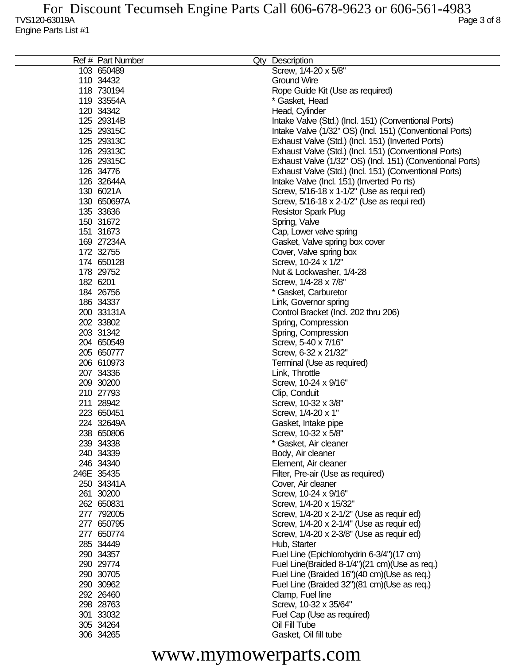|            | Ref # Part Number | Qty Description                                           |
|------------|-------------------|-----------------------------------------------------------|
| 103 650489 |                   | Screw, 1/4-20 x 5/8"                                      |
| 110 34432  |                   | <b>Ground Wire</b>                                        |
|            | 118 730194        | Rope Guide Kit (Use as required)                          |
|            | 119 33554A        | * Gasket, Head                                            |
| 120 34342  |                   | Head, Cylinder                                            |
|            | 125 29314B        | Intake Valve (Std.) (Incl. 151) (Conventional Ports)      |
|            | 125 29315C        | Intake Valve (1/32" OS) (Incl. 151) (Conventional Ports)  |
|            | 125 29313C        | Exhaust Valve (Std.) (Incl. 151) (Inverted Ports)         |
|            | 126 29313C        | Exhaust Valve (Std.) (Incl. 151) (Conventional Ports)     |
|            | 126 29315C        | Exhaust Valve (1/32" OS) (Incl. 151) (Conventional Ports) |
| 126 34776  |                   | Exhaust Valve (Std.) (Incl. 151) (Conventional Ports)     |
|            | 126 32644A        | Intake Valve (Incl. 151) (Inverted Po rts)                |
| 130 6021A  |                   | Screw, 5/16-18 x 1-1/2" (Use as requi red)                |
|            | 130 650697A       | Screw, 5/16-18 x 2-1/2" (Use as requi red)                |
| 135 33636  |                   | <b>Resistor Spark Plug</b>                                |
| 150 31672  |                   | Spring, Valve                                             |
| 151 31673  |                   | Cap, Lower valve spring                                   |
|            | 169 27234A        |                                                           |
| 172 32755  |                   | Gasket, Valve spring box cover                            |
| 174 650128 |                   | Cover, Valve spring box                                   |
|            |                   | Screw, 10-24 x 1/2"                                       |
| 178 29752  |                   | Nut & Lockwasher, 1/4-28                                  |
| 182 6201   |                   | Screw, 1/4-28 x 7/8"                                      |
| 184 26756  |                   | * Gasket, Carburetor                                      |
| 186 34337  |                   | Link, Governor spring                                     |
|            | 200 33131A        | Control Bracket (Incl. 202 thru 206)                      |
| 202 33802  |                   | Spring, Compression                                       |
| 203 31342  |                   | Spring, Compression                                       |
| 204 650549 |                   | Screw, 5-40 x 7/16"                                       |
| 205 650777 |                   | Screw, 6-32 x 21/32"                                      |
| 206 610973 |                   | Terminal (Use as required)                                |
| 207 34336  |                   | Link, Throttle                                            |
| 209 30200  |                   | Screw, 10-24 x 9/16"                                      |
| 210 27793  |                   | Clip, Conduit                                             |
| 211 28942  |                   | Screw, 10-32 x 3/8"                                       |
| 223 650451 |                   | Screw, 1/4-20 x 1"                                        |
|            | 224 32649A        | Gasket, Intake pipe                                       |
| 238 650806 |                   | Screw, 10-32 x 5/8'                                       |
| 239 34338  |                   | * Gasket, Air cleaner                                     |
| 240 34339  |                   | Body, Air cleaner                                         |
| 246 34340  |                   | Element, Air cleaner                                      |
| 246E 35435 |                   | Filter, Pre-air (Use as required)                         |
|            | 250 34341A        | Cover, Air cleaner                                        |
| 261 30200  |                   | Screw, 10-24 x 9/16"                                      |
| 262 650831 |                   | Screw, 1/4-20 x 15/32"                                    |
| 277 792005 |                   | Screw, 1/4-20 x 2-1/2" (Use as requir ed)                 |
| 277 650795 |                   | Screw, 1/4-20 x 2-1/4" (Use as requir ed)                 |
| 277 650774 |                   | Screw, 1/4-20 x 2-3/8" (Use as requir ed)                 |
| 285 34449  |                   | Hub, Starter                                              |
| 290 34357  |                   | Fuel Line (Epichlorohydrin 6-3/4")(17 cm)                 |
| 290 29774  |                   | Fuel Line(Braided 8-1/4")(21 cm)(Use as req.)             |
| 290 30705  |                   | Fuel Line (Braided 16")(40 cm)(Use as req.)               |
| 290 30962  |                   | Fuel Line (Braided 32")(81 cm)(Use as req.)               |
| 292 26460  |                   | Clamp, Fuel line                                          |
| 298 28763  |                   | Screw, 10-32 x 35/64"                                     |
| 301 33032  |                   | Fuel Cap (Use as required)                                |
| 305 34264  |                   | Oil Fill Tube                                             |
| 306 34265  |                   | Gasket, Oil fill tube                                     |
|            |                   |                                                           |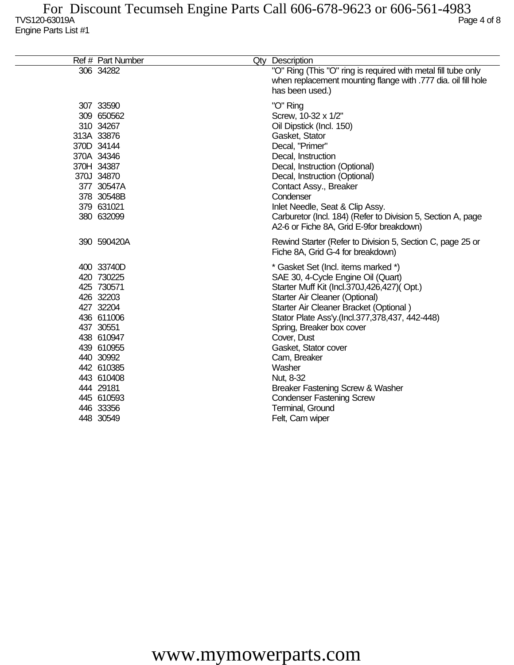| Ref # Part Number |                                                                                                                                                                                                                                                                                                                                                                                                                         | Qty Description                                                                                                                                                                                                                                                                                                                                                                                                                                                                            |
|-------------------|-------------------------------------------------------------------------------------------------------------------------------------------------------------------------------------------------------------------------------------------------------------------------------------------------------------------------------------------------------------------------------------------------------------------------|--------------------------------------------------------------------------------------------------------------------------------------------------------------------------------------------------------------------------------------------------------------------------------------------------------------------------------------------------------------------------------------------------------------------------------------------------------------------------------------------|
|                   |                                                                                                                                                                                                                                                                                                                                                                                                                         | "O" Ring (This "O" ring is required with metal fill tube only<br>when replacement mounting flange with .777 dia. oil fill hole<br>has been used.)                                                                                                                                                                                                                                                                                                                                          |
|                   |                                                                                                                                                                                                                                                                                                                                                                                                                         | "O" Ring<br>Screw, 10-32 x 1/2"<br>Oil Dipstick (Incl. 150)<br>Gasket, Stator<br>Decal, "Primer"<br>Decal, Instruction<br>Decal, Instruction (Optional)<br>Decal, Instruction (Optional)<br>Contact Assy., Breaker<br>Condenser<br>Inlet Needle, Seat & Clip Assy.<br>Carburetor (Incl. 184) (Refer to Division 5, Section A, page<br>A2-6 or Fiche 8A, Grid E-9for breakdown)                                                                                                             |
|                   |                                                                                                                                                                                                                                                                                                                                                                                                                         | Rewind Starter (Refer to Division 5, Section C, page 25 or<br>Fiche 8A, Grid G-4 for breakdown)                                                                                                                                                                                                                                                                                                                                                                                            |
|                   |                                                                                                                                                                                                                                                                                                                                                                                                                         | * Gasket Set (Incl. items marked *)<br>SAE 30, 4-Cycle Engine Oil (Quart)<br>Starter Muff Kit (Incl.370J,426,427)(Opt.)<br>Starter Air Cleaner (Optional)<br>Starter Air Cleaner Bracket (Optional)<br>Stator Plate Ass'y.(Incl.377,378,437, 442-448)<br>Spring, Breaker box cover<br>Cover, Dust<br>Gasket, Stator cover<br>Cam, Breaker<br>Washer<br>Nut, 8-32<br><b>Breaker Fastening Screw &amp; Washer</b><br><b>Condenser Fastening Screw</b><br>Terminal, Ground<br>Felt, Cam wiper |
|                   | 306 34282<br>307 33590<br>309 650562<br>310 34267<br>313A 33876<br>370D 34144<br>370A 34346<br>370H 34387<br>370J 34870<br>377 30547A<br>378 30548B<br>379 631021<br>380 632099<br>390 590420A<br>400 33740D<br>420 730225<br>425 730571<br>426 32203<br>427 32204<br>436 611006<br>437 30551<br>438 610947<br>439 610955<br>440 30992<br>442 610385<br>443 610408<br>444 29181<br>445 610593<br>446 33356<br>448 30549 |                                                                                                                                                                                                                                                                                                                                                                                                                                                                                            |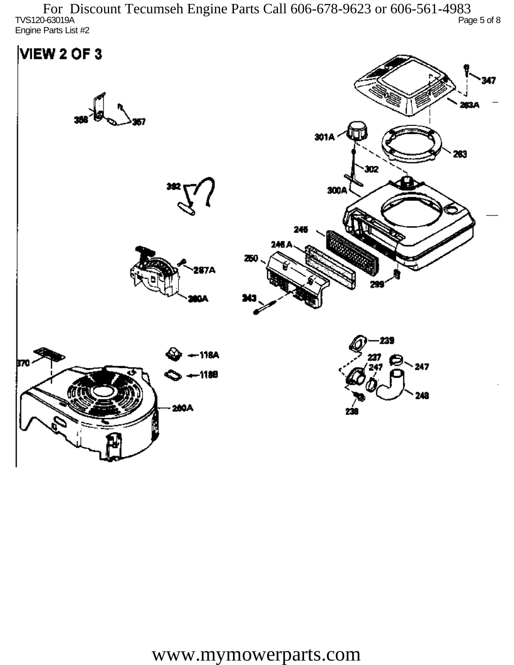TVS120-63019A Page 5 of 8 Engine Parts List #2 For Discount Tecumseh Engine Parts Call 606-678-9623 or 606-561-4983

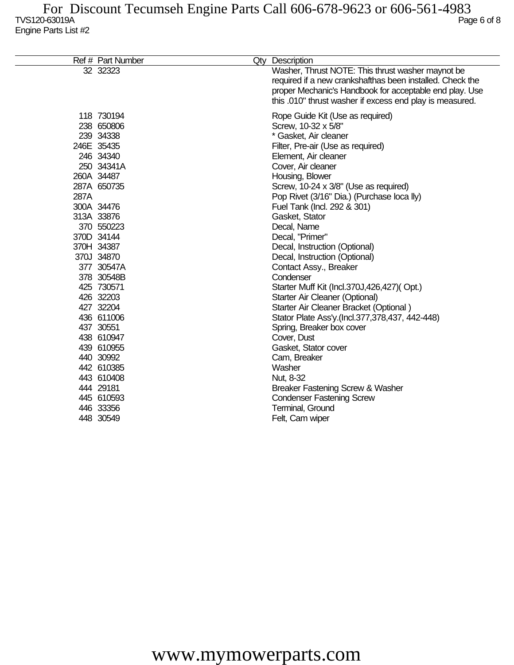|      | Ref # Part Number                                                                                                                                                                                                                                                                                                                       | Qty Description                                                                                                                                                                                                                                                                                                                                                                                                                                                                                                                                                                                                                                                                                                                           |
|------|-----------------------------------------------------------------------------------------------------------------------------------------------------------------------------------------------------------------------------------------------------------------------------------------------------------------------------------------|-------------------------------------------------------------------------------------------------------------------------------------------------------------------------------------------------------------------------------------------------------------------------------------------------------------------------------------------------------------------------------------------------------------------------------------------------------------------------------------------------------------------------------------------------------------------------------------------------------------------------------------------------------------------------------------------------------------------------------------------|
|      | 32 32323                                                                                                                                                                                                                                                                                                                                | Washer, Thrust NOTE: This thrust washer maynot be<br>required if a new crankshafthas been installed. Check the<br>proper Mechanic's Handbook for acceptable end play. Use<br>this .010" thrust washer if excess end play is measured.                                                                                                                                                                                                                                                                                                                                                                                                                                                                                                     |
| 287A | 118 730194<br>238 650806<br>239 34338<br>246E 35435<br>246 34340<br>250 34341A<br>260A 34487<br>287A 650735<br>300A 34476<br>313A 33876<br>370 550223<br>370D 34144<br>370H 34387<br>370J 34870<br>377 30547A<br>378 30548B<br>425 730571<br>426 32203<br>427 32204<br>436 611006<br>437 30551<br>438 610947<br>439 610955<br>440 30992 | Rope Guide Kit (Use as required)<br>Screw, 10-32 x 5/8"<br>* Gasket, Air cleaner<br>Filter, Pre-air (Use as required)<br>Element, Air cleaner<br>Cover, Air cleaner<br>Housing, Blower<br>Screw, 10-24 x 3/8" (Use as required)<br>Pop Rivet (3/16" Dia.) (Purchase loca lly)<br>Fuel Tank (Incl. 292 & 301)<br>Gasket, Stator<br>Decal, Name<br>Decal, "Primer"<br>Decal, Instruction (Optional)<br>Decal, Instruction (Optional)<br>Contact Assy., Breaker<br>Condenser<br>Starter Muff Kit (Incl.370J,426,427)(Opt.)<br>Starter Air Cleaner (Optional)<br>Starter Air Cleaner Bracket (Optional)<br>Stator Plate Ass'y.(Incl.377,378,437, 442-448)<br>Spring, Breaker box cover<br>Cover, Dust<br>Gasket, Stator cover<br>Cam, Breaker |
|      | 442 610385                                                                                                                                                                                                                                                                                                                              | Washer                                                                                                                                                                                                                                                                                                                                                                                                                                                                                                                                                                                                                                                                                                                                    |
|      | 443 610408                                                                                                                                                                                                                                                                                                                              | Nut, 8-32                                                                                                                                                                                                                                                                                                                                                                                                                                                                                                                                                                                                                                                                                                                                 |
|      | 444 29181                                                                                                                                                                                                                                                                                                                               | Breaker Fastening Screw & Washer                                                                                                                                                                                                                                                                                                                                                                                                                                                                                                                                                                                                                                                                                                          |
|      | 445 610593<br>446 33356                                                                                                                                                                                                                                                                                                                 | <b>Condenser Fastening Screw</b>                                                                                                                                                                                                                                                                                                                                                                                                                                                                                                                                                                                                                                                                                                          |
|      | 448 30549                                                                                                                                                                                                                                                                                                                               | Terminal, Ground<br>Felt, Cam wiper                                                                                                                                                                                                                                                                                                                                                                                                                                                                                                                                                                                                                                                                                                       |
|      |                                                                                                                                                                                                                                                                                                                                         |                                                                                                                                                                                                                                                                                                                                                                                                                                                                                                                                                                                                                                                                                                                                           |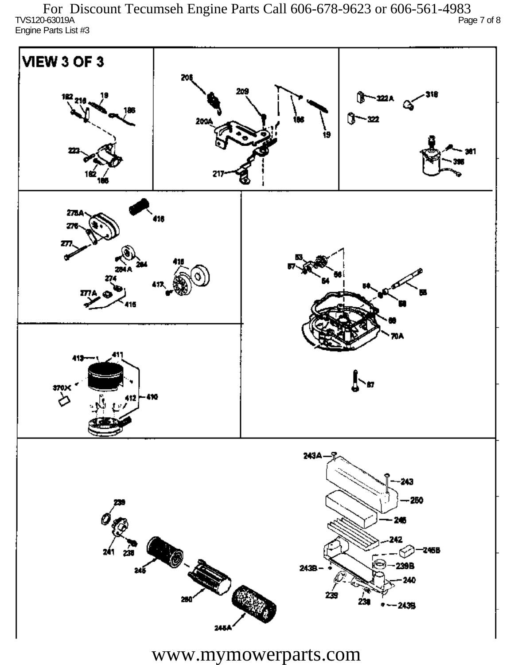TVS120-63019A Page 7 of 8 Engine Parts List #3 For Discount Tecumseh Engine Parts Call 606-678-9623 or 606-561-4983